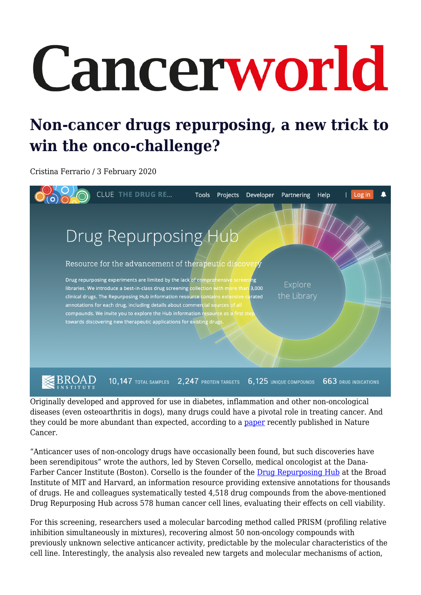## Cancerworld

## **Non-cancer drugs repurposing, a new trick to win the onco-challenge?**

Cristina Ferrario / 3 February 2020



Originally developed and approved for use in diabetes, inflammation and other non-oncological diseases (even osteoarthritis in dogs), many drugs could have a pivotal role in treating cancer. And they could be more abundant than expected, according to a [paper](https://doi.org/10.1038/s43018-019-0018-6) recently published in Nature Cancer.

"Anticancer uses of non-oncology drugs have occasionally been found, but such discoveries have been serendipitous" wrote the authors, led by Steven Corsello, medical oncologist at the Dana-Farber Cancer Institute (Boston). Corsello is the founder of the [Drug Repurposing Hub](https://clue.io/repurposing) at the Broad Institute of MIT and Harvard, an information resource providing extensive annotations for thousands of drugs. He and colleagues systematically tested 4,518 drug compounds from the above-mentioned Drug Repurposing Hub across 578 human cancer cell lines, evaluating their effects on cell viability.

For this screening, researchers used a molecular barcoding method called PRISM (profiling relative inhibition simultaneously in mixtures), recovering almost 50 non-oncology compounds with previously unknown selective anticancer activity, predictable by the molecular characteristics of the cell line. Interestingly, the analysis also revealed new targets and molecular mechanisms of action,